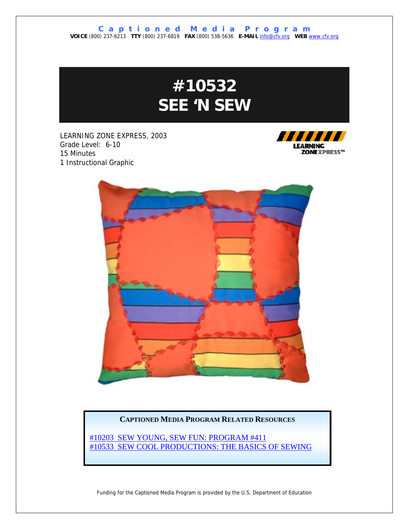# **#10532 SEE 'N SEW**

LEARNING ZONE EXPRESS, 2003 Grade Level: 6-10 15 Minutes 1 Instructional Graphic





#### **CAPTIONED MEDIA PROGRAM RELATED RESOURCES**

[#10203 SEW YOUNG, SEW FUN: PROGRAM #411](http://www.captionedmedia.org/titledetail.asp?dn=10203) [#10533 SEW COOL PRODUCTIONS: THE BASICS OF SEWING](http://www.captionedmedia.org/titledetail.asp?dn=10533)

Funding for the Captioned Media Program is provided by the U.S. Department of Education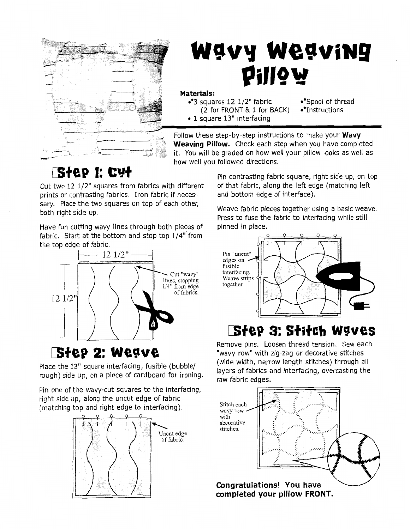

# Wavy Weaving Pillow

#### Materials:

 $\cdot$ <sup>9</sup>3 squares 12 1/2" fabric  $\cdot$  Spool of thread (2 for FRONT & 1 for BACK)  $\bullet$ <sup>9</sup>Instructions • 1 square 13" interfacing

Follow these step-by-step instructions to make your **Wavy**<br>Weaving Pillow. Check each step when you have completed it. You will be graded on how well your pillow looks as well as how well you followed directions.

Cut two 12 1/2" squares from fabrics with different of that fabric, along the left edge (matching left prints or contrasting fabrics. Iron fabric if neces- and bottom edge of interface). sary. Place the two squares on top of each other, both right side up.<br>both right side up.

Have fun cutting wavy lines through both pieces of pinned in place. fabric. Start at the bottom and stop top **114"** from the top edge of fabric.



Pin one of the wavy-cut squares to the interfacing, right side up, along the uncut edge of fabric (matching top and right edge to interfacing).



 $\mathbf{S}$ <sup>+</sup> **CU+**  $\mathbf{P}$  **Pin contrasting fabric square, right side up, on top** 

Press to fuse the fabric to interfacing while still



## 1 **@tee 3: ststeb wsves**

Remove pins. Loosen thread tension. Sew each **STEP 2: WEAVE** "wavy row" with zig-zag or decorative stitches"<br>(wide width, narrow length stitches) through all Place the 13" square interfacing, fusible (bubble/ layers of fabrics and interfacing, overcasting the rough) side up, on a piece of cardboard for ironing.<br>raw fabric edges.

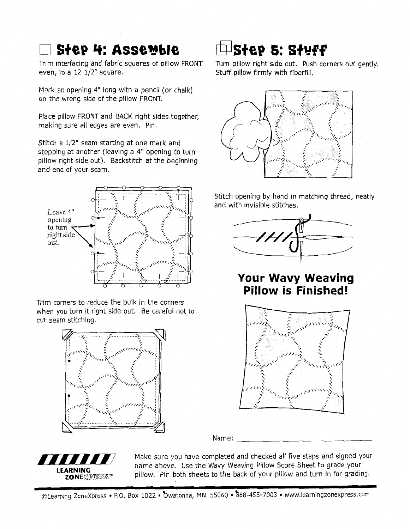### **STEP 4: ASSEMble**

Trim interfacing and fabric squares of pillow FRONT even, to a  $12$   $1/2$ " square.

Mark an opening 4" long with a pencil (or chalk) on the wrong side of the pillow FRONT.

Place pillow FRONT and BACK right sides together, making sure all edges are even. Pin.

Stitch a 1/2" seam starting at one mark and stopping at another (leaving a **4"** opening to turn pillow right side out). Backstitch at the beginning and end of your seam.



Trim corners to reduce the bulk in the corners when you turn it right side out. Be careful not to cut seam stitching.



# **Step 5: Stuff**

Turn pillow right side out. Push corners out gently. Stuff pillow firmly with fiberfill.



Stitch opening by hand in matching thread, neatly and with invisible stitches.



### **Your Wavy Weaving Pillow is Finished!**



Name:



Make sure you have completed and checked all five steps and signed your name above. Use the Wavy Weaving Pillow Score Sheet to grade your **LEARNING xnixiles x pillow.** Pin both sheets to the back of your pillow and turn in for grading.

©Learning ZoneXpress • P.O. Box 1022 • Owatonna, MN 55060 • 888-455-7003 • www.learningzonexpress.com